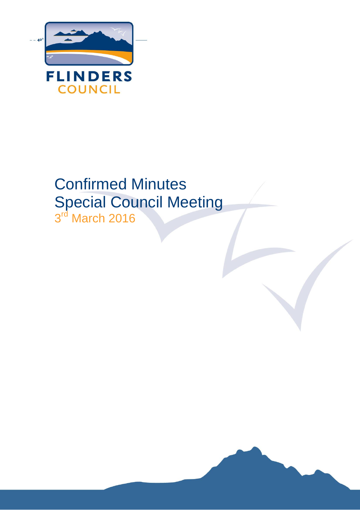

# Confirmed Minutes Special Council Meeting 3<sup>rd</sup> March 2016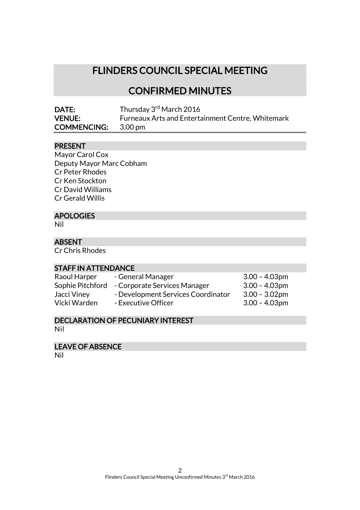# FLINDERS COUNCIL SPECIAL MEETING

# CONFIRMED MINUTES

| <b>DATE:</b>       | Thursday 3rd March 2016                           |
|--------------------|---------------------------------------------------|
| <b>VENUE:</b>      | Furneaux Arts and Entertainment Centre, Whitemark |
| <b>COMMENCING:</b> | 3.00 pm                                           |

# PRESENT

Mayor Carol Cox Deputy Mayor Marc Cobham Cr Peter Rhodes Cr Ken Stockton Cr David Williams Cr Gerald Willis

# APOLOGIES

Nil

## ABSENT

Cr Chris Rhodes

#### STAFF IN ATTENDANCE

Raoul Harper - General Manager 3.00 – 4.03pm

Sophie Pitchford - Corporate Services Manager 3.00 – 4.03pm Jacci Viney - Development Services Coordinator 3.00 – 3.02pm

Vicki Warden - Executive Officer 3.00 - 4.03pm

#### DECLARATION OF PECUNIARY INTEREST Nil

#### LEAVE OF ABSENCE

Nil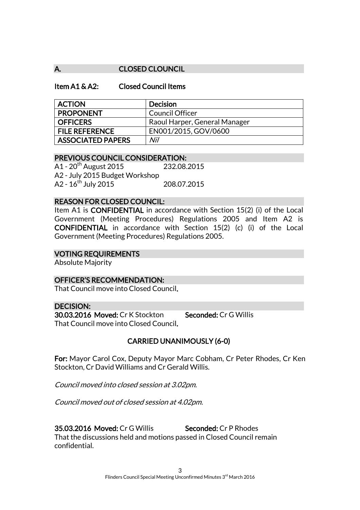## A. CLOSED CLOUNCIL

#### Item A1 & A2: Closed Council Items

| <b>ACTION</b>            | <b>Decision</b>               |
|--------------------------|-------------------------------|
| <b>PROPONENT</b>         | <b>Council Officer</b>        |
| <b>OFFICERS</b>          | Raoul Harper, General Manager |
| <b>FILE REFERENCE</b>    | EN001/2015, GOV/0600          |
| <b>ASSOCIATED PAPERS</b> | Nil                           |

## PREVIOUS COUNCIL CONSIDERATION:

A1 - 20th August 2015 232.08.2015 A2 - July 2015 Budget Workshop  $A2 - 16^{th}$  July 2015 208.07.2015

#### REASON FOR CLOSED COUNCIL:

Item A1 is CONFIDENTIAL in accordance with Section 15(2) (i) of the Local Government (Meeting Procedures) Regulations 2005 and Item A2 is CONFIDENTIAL in accordance with Section 15(2) (c) (i) of the Local Government (Meeting Procedures) Regulations 2005.

#### VOTING REQUIREMENTS

Absolute Majority

#### OFFICER'S RECOMMENDATION:

That Council move into Closed Council.

#### DECISION: 30.03.2016 Moved: Cr K Stockton Seconded: Cr G Willis That Council move into Closed Council.

#### CARRIED UNANIMOUSLY (6-0)

For: Mayor Carol Cox, Deputy Mayor Marc Cobham, Cr Peter Rhodes, Cr Ken Stockton, Cr David Williams and Cr Gerald Willis.

Council moved into closed session at 3.02pm.

Council moved out of closed session at 4.02pm.

35.03.2016 Moved: Cr G Willis Seconded: Cr P Rhodes

That the discussions held and motions passed in Closed Council remain confidential.